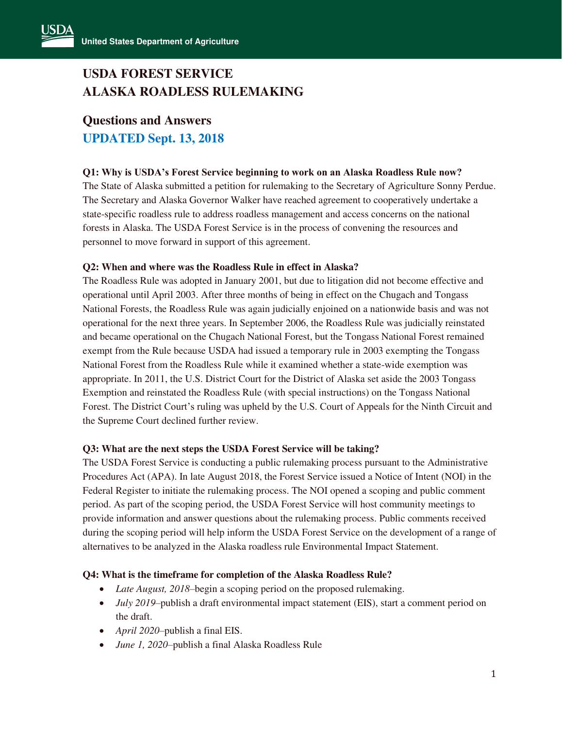# **USDA FOREST SERVICE ALASKA ROADLESS RULEMAKING**

# **Questions and Answers UPDATED Sept. 13, 2018**

## **Q1: Why is USDA's Forest Service beginning to work on an Alaska Roadless Rule now?**

The State of Alaska submitted a petition for rulemaking to the Secretary of Agriculture Sonny Perdue. The Secretary and Alaska Governor Walker have reached agreement to cooperatively undertake a state-specific roadless rule to address roadless management and access concerns on the national forests in Alaska. The USDA Forest Service is in the process of convening the resources and personnel to move forward in support of this agreement.

## **Q2: When and where was the Roadless Rule in effect in Alaska?**

The Roadless Rule was adopted in January 2001, but due to litigation did not become effective and operational until April 2003. After three months of being in effect on the Chugach and Tongass National Forests, the Roadless Rule was again judicially enjoined on a nationwide basis and was not operational for the next three years. In September 2006, the Roadless Rule was judicially reinstated and became operational on the Chugach National Forest, but the Tongass National Forest remained exempt from the Rule because USDA had issued a temporary rule in 2003 exempting the Tongass National Forest from the Roadless Rule while it examined whether a state-wide exemption was appropriate. In 2011, the U.S. District Court for the District of Alaska set aside the 2003 Tongass Exemption and reinstated the Roadless Rule (with special instructions) on the Tongass National Forest. The District Court's ruling was upheld by the U.S. Court of Appeals for the Ninth Circuit and the Supreme Court declined further review.

## **Q3: What are the next steps the USDA Forest Service will be taking?**

The USDA Forest Service is conducting a public rulemaking process pursuant to the Administrative Procedures Act (APA). In late August 2018, the Forest Service issued a Notice of Intent (NOI) in the Federal Register to initiate the rulemaking process. The NOI opened a scoping and public comment period. As part of the scoping period, the USDA Forest Service will host community meetings to provide information and answer questions about the rulemaking process. Public comments received during the scoping period will help inform the USDA Forest Service on the development of a range of alternatives to be analyzed in the Alaska roadless rule Environmental Impact Statement.

## **Q4: What is the timeframe for completion of the Alaska Roadless Rule?**

- *Late August, 2018*–begin a scoping period on the proposed rulemaking.
- *July 2019*–publish a draft environmental impact statement (EIS), start a comment period on the draft.
- *April 2020*–publish a final EIS.
- *June 1, 2020*–publish a final Alaska Roadless Rule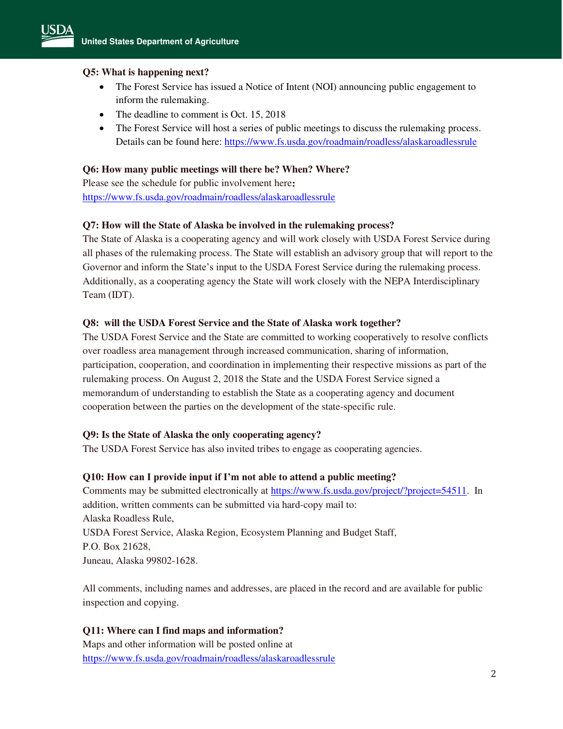## **Q5: What is happening next?**

- The Forest Service has issued a Notice of Intent (NOI) announcing public engagement to inform the rulemaking.
- The deadline to comment is Oct. 15, 2018
- The Forest Service will host a series of public meetings to discuss the rulemaking process. Details can be found here:<https://www.fs.usda.gov/roadmain/roadless/alaskaroadlessrule>

## **Q6: How many public meetings will there be? When? Where?**

Please see the schedule for public involvement here**:**  <https://www.fs.usda.gov/roadmain/roadless/alaskaroadlessrule>

## **Q7: How will the State of Alaska be involved in the rulemaking process?**

The State of Alaska is a cooperating agency and will work closely with USDA Forest Service during all phases of the rulemaking process. The State will establish an advisory group that will report to the Governor and inform the State's input to the USDA Forest Service during the rulemaking process. Additionally, as a cooperating agency the State will work closely with the NEPA Interdisciplinary Team (IDT).

## **Q8: will the USDA Forest Service and the State of Alaska work together?**

The USDA Forest Service and the State are committed to working cooperatively to resolve conflicts over roadless area management through increased communication, sharing of information, participation, cooperation, and coordination in implementing their respective missions as part of the rulemaking process. On August 2, 2018 the State and the USDA Forest Service signed a memorandum of understanding to establish the State as a cooperating agency and document cooperation between the parties on the development of the state-specific rule.

### **Q9: Is the State of Alaska the only cooperating agency?**

The USDA Forest Service has also invited tribes to engage as cooperating agencies.

### **Q10: How can I provide input if I'm not able to attend a public meeting?**

Comments may be submitted electronically at [https://www.fs.usda.gov/project/?project=54511.](https://www.fs.usda.gov/project/?project=54511) In addition, written comments can be submitted via hard-copy mail to: Alaska Roadless Rule, USDA Forest Service, Alaska Region, Ecosystem Planning and Budget Staff, P.O. Box 21628, Juneau, Alaska 99802-1628.

All comments, including names and addresses, are placed in the record and are available for public inspection and copying.

## **Q11: Where can I find maps and information?**

Maps and other information will be posted online at <https://www.fs.usda.gov/roadmain/roadless/alaskaroadlessrule>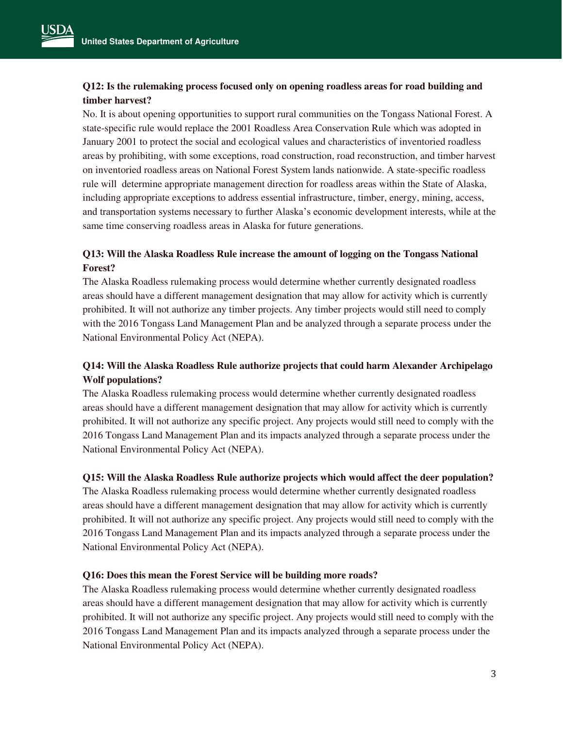# **Q12: Is the rulemaking process focused only on opening roadless areas for road building and timber harvest?**

No. It is about opening opportunities to support rural communities on the Tongass National Forest. A state-specific rule would replace the 2001 Roadless Area Conservation Rule which was adopted in January 2001 to protect the social and ecological values and characteristics of inventoried roadless areas by prohibiting, with some exceptions, road construction, road reconstruction, and timber harvest on inventoried roadless areas on National Forest System lands nationwide. A state-specific roadless rule will determine appropriate management direction for roadless areas within the State of Alaska, including appropriate exceptions to address essential infrastructure, timber, energy, mining, access, and transportation systems necessary to further Alaska's economic development interests, while at the same time conserving roadless areas in Alaska for future generations.

# **Q13: Will the Alaska Roadless Rule increase the amount of logging on the Tongass National Forest?**

The Alaska Roadless rulemaking process would determine whether currently designated roadless areas should have a different management designation that may allow for activity which is currently prohibited. It will not authorize any timber projects. Any timber projects would still need to comply with the 2016 Tongass Land Management Plan and be analyzed through a separate process under the National Environmental Policy Act (NEPA).

# **Q14: Will the Alaska Roadless Rule authorize projects that could harm Alexander Archipelago Wolf populations?**

The Alaska Roadless rulemaking process would determine whether currently designated roadless areas should have a different management designation that may allow for activity which is currently prohibited. It will not authorize any specific project. Any projects would still need to comply with the 2016 Tongass Land Management Plan and its impacts analyzed through a separate process under the National Environmental Policy Act (NEPA).

## **Q15: Will the Alaska Roadless Rule authorize projects which would affect the deer population?**

The Alaska Roadless rulemaking process would determine whether currently designated roadless areas should have a different management designation that may allow for activity which is currently prohibited. It will not authorize any specific project. Any projects would still need to comply with the 2016 Tongass Land Management Plan and its impacts analyzed through a separate process under the National Environmental Policy Act (NEPA).

### **Q16: Does this mean the Forest Service will be building more roads?**

The Alaska Roadless rulemaking process would determine whether currently designated roadless areas should have a different management designation that may allow for activity which is currently prohibited. It will not authorize any specific project. Any projects would still need to comply with the 2016 Tongass Land Management Plan and its impacts analyzed through a separate process under the National Environmental Policy Act (NEPA).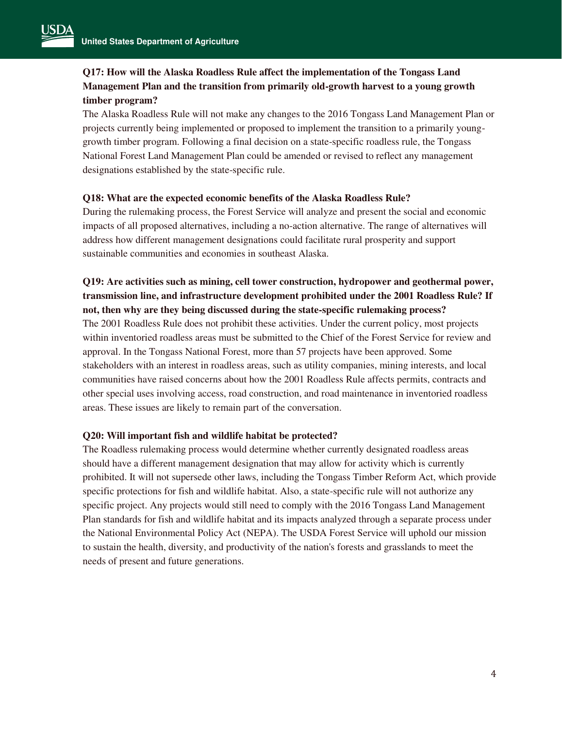# **Q17: How will the Alaska Roadless Rule affect the implementation of the Tongass Land Management Plan and the transition from primarily old-growth harvest to a young growth timber program?**

The Alaska Roadless Rule will not make any changes to the 2016 Tongass Land Management Plan or projects currently being implemented or proposed to implement the transition to a primarily younggrowth timber program. Following a final decision on a state-specific roadless rule, the Tongass National Forest Land Management Plan could be amended or revised to reflect any management designations established by the state-specific rule.

#### **Q18: What are the expected economic benefits of the Alaska Roadless Rule?**

During the rulemaking process, the Forest Service will analyze and present the social and economic impacts of all proposed alternatives, including a no-action alternative. The range of alternatives will address how different management designations could facilitate rural prosperity and support sustainable communities and economies in southeast Alaska.

# **Q19: Are activities such as mining, cell tower construction, hydropower and geothermal power, transmission line, and infrastructure development prohibited under the 2001 Roadless Rule? If not, then why are they being discussed during the state-specific rulemaking process?**

The 2001 Roadless Rule does not prohibit these activities. Under the current policy, most projects within inventoried roadless areas must be submitted to the Chief of the Forest Service for review and approval. In the Tongass National Forest, more than 57 projects have been approved. Some stakeholders with an interest in roadless areas, such as utility companies, mining interests, and local communities have raised concerns about how the 2001 Roadless Rule affects permits, contracts and other special uses involving access, road construction, and road maintenance in inventoried roadless areas. These issues are likely to remain part of the conversation.

### **Q20: Will important fish and wildlife habitat be protected?**

The Roadless rulemaking process would determine whether currently designated roadless areas should have a different management designation that may allow for activity which is currently prohibited. It will not supersede other laws, including the Tongass Timber Reform Act, which provide specific protections for fish and wildlife habitat. Also, a state-specific rule will not authorize any specific project. Any projects would still need to comply with the 2016 Tongass Land Management Plan standards for fish and wildlife habitat and its impacts analyzed through a separate process under the National Environmental Policy Act (NEPA). The USDA Forest Service will uphold our mission to sustain the health, diversity, and productivity of the nation's forests and grasslands to meet the needs of present and future generations.